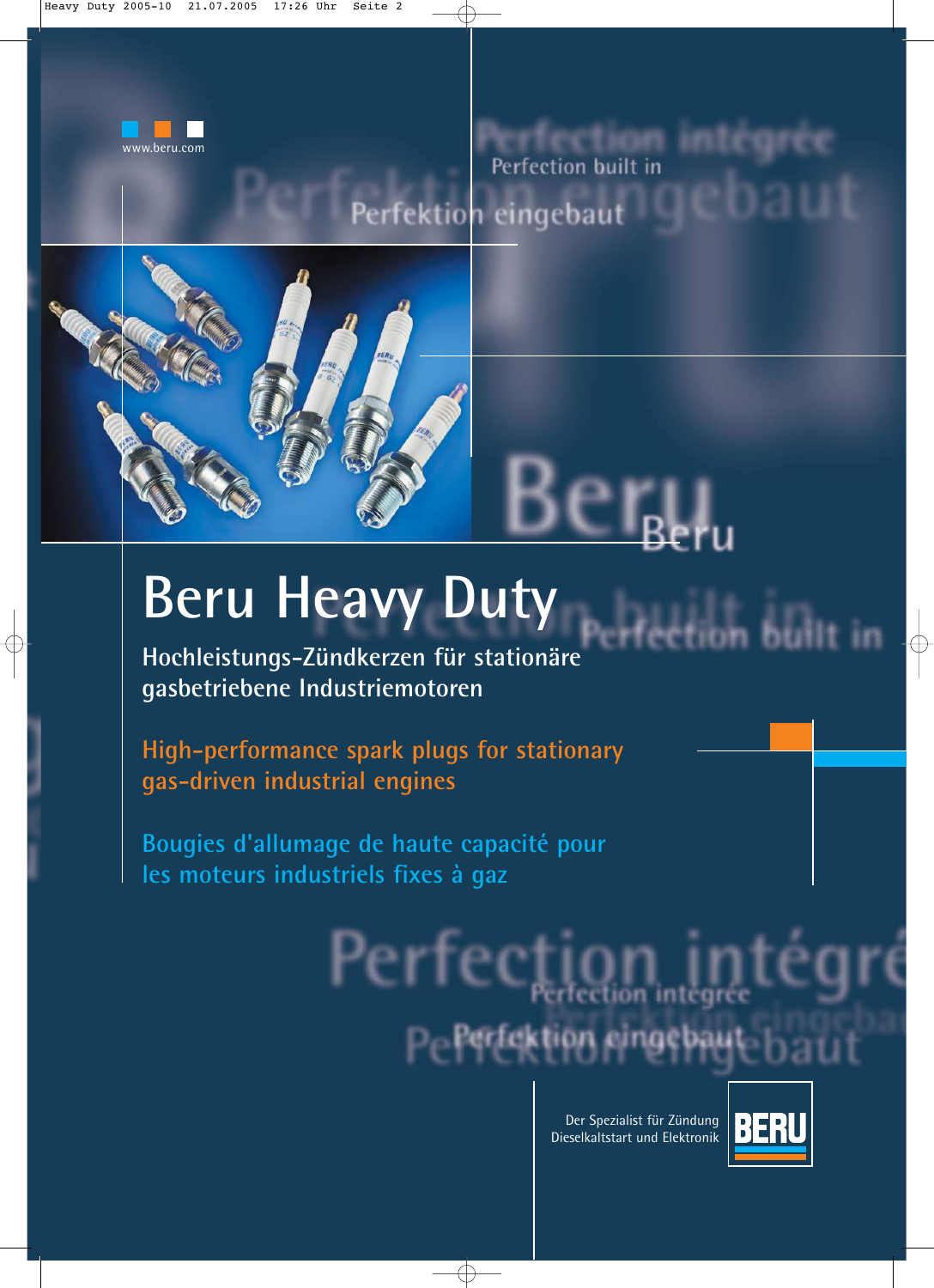

## RITECURI Perfection built in Perfektion eingebaut



# **Beru Heavy Duty**

**Hochleistungs-Zündkerzen für stationäre gasbetriebene Industriemotoren**

**High-performance spark plugs for stationary gas-driven industrial engines**

**Bougies d'allumage de haute capacité pour les moteurs industriels fixes à gaz**

Der Spezialist für Zündung Dieselkaltstart und Elektronik

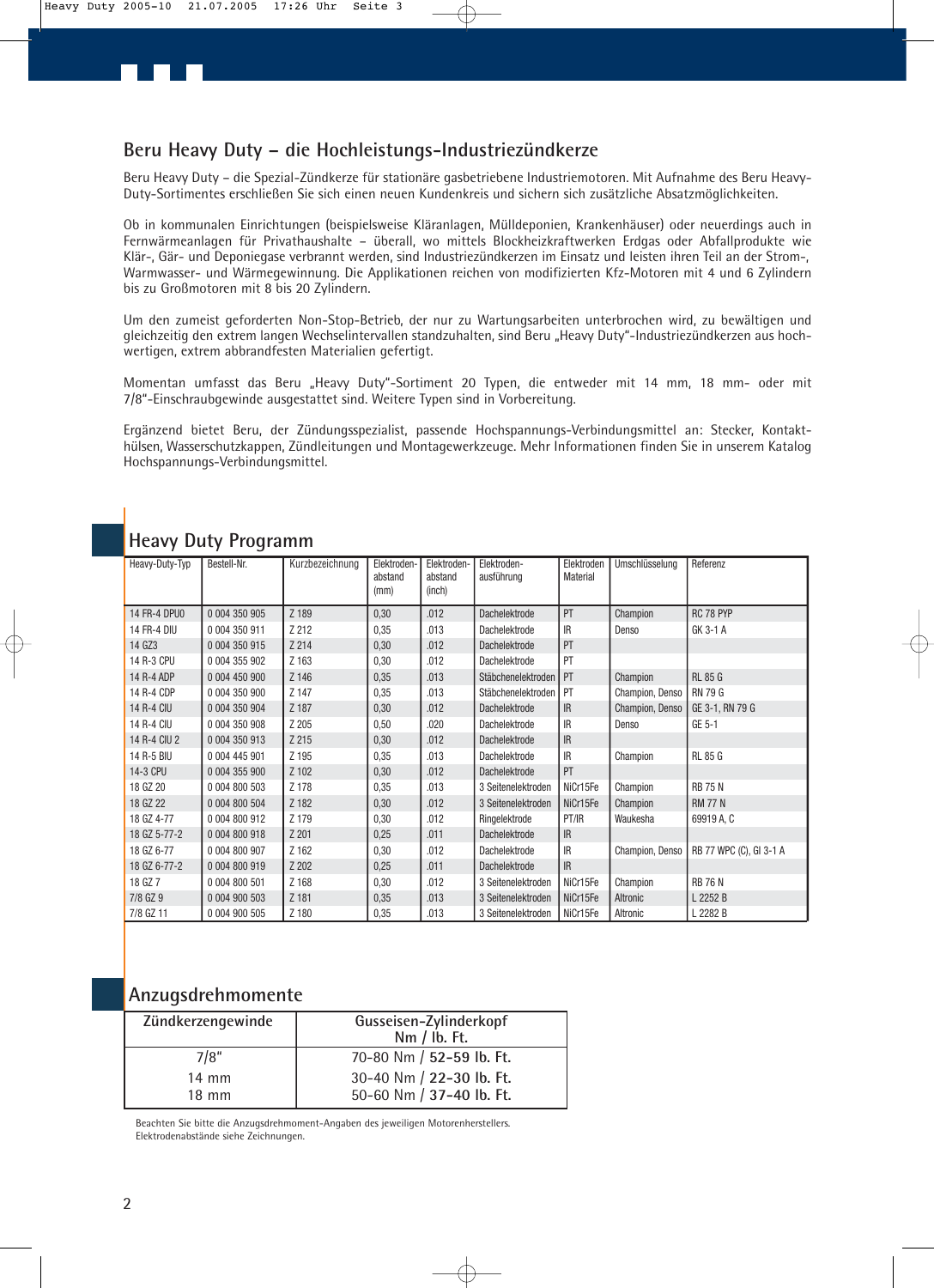### **Beru Heavy Duty – die Hochleistungs-Industriezündkerze**

Beru Heavy Duty – die Spezial-Zündkerze für stationäre gasbetriebene Industriemotoren. Mit Aufnahme des Beru Heavy-Duty-Sortimentes erschließen Sie sich einen neuen Kundenkreis und sichern sich zusätzliche Absatzmöglichkeiten.

Ob in kommunalen Einrichtungen (beispielsweise Kläranlagen, Mülldeponien, Krankenhäuser) oder neuerdings auch in Fernwärmeanlagen für Privathaushalte – überall, wo mittels Blockheizkraftwerken Erdgas oder Abfallprodukte wie Klär-, Gär- und Deponiegase verbrannt werden, sind Industriezündkerzen im Einsatz und leisten ihren Teil an der Strom-, Warmwasser- und Wärmegewinnung. Die Applikationen reichen von modifizierten Kfz-Motoren mit 4 und 6 Zylindern bis zu Großmotoren mit 8 bis 20 Zylindern.

Um den zumeist geforderten Non-Stop-Betrieb, der nur zu Wartungsarbeiten unterbrochen wird, zu bewältigen und gleichzeitig den extrem langen Wechselintervallen standzuhalten, sind Beru "Heavy Duty"-Industriezündkerzen aus hochwertigen, extrem abbrandfesten Materialien gefertigt.

Momentan umfasst das Beru "Heavy Duty"-Sortiment 20 Typen, die entweder mit 14 mm, 18 mm- oder mit 7/8"-Einschraubgewinde ausgestattet sind. Weitere Typen sind in Vorbereitung.

Ergänzend bietet Beru, der Zündungsspezialist, passende Hochspannungs-Verbindungsmittel an: Stecker, Kontakthülsen, Wasserschutzkappen, Zündleitungen und Montagewerkzeuge. Mehr Informationen finden Sie in unserem Katalog Hochspannungs-Verbindungsmittel.

| Heavy-Duty-Typ      | Bestell-Nr.   | Kurzbezeichnung | Elektroden-<br>abstand<br>(mm) | Elektroden-<br>abstand<br>(inch) | Elektroden-<br>ausführung | Elektroden<br>Material | Umschlüsselung  | Referenz                |
|---------------------|---------------|-----------------|--------------------------------|----------------------------------|---------------------------|------------------------|-----------------|-------------------------|
| <b>14 FR-4 DPU0</b> | 0 004 350 905 | Z 189           | 0,30                           | .012                             | <b>Dachelektrode</b>      | PT                     | Champion        | RC 78 PYP               |
| <b>14 FR-4 DIU</b>  | 0 004 350 911 | Z 212           | 0,35                           | .013                             | Dachelektrode             | IR                     | Denso           | GK 3-1 A                |
| 14 GZ3              | 0 004 350 915 | Z 214           | 0,30                           | .012                             | <b>Dachelektrode</b>      | PT                     |                 |                         |
| 14 R-3 CPU          | 0 004 355 902 | Z 163           | 0,30                           | .012                             | Dachelektrode             | PT                     |                 |                         |
| 14 R-4 ADP          | 0 004 450 900 | Z 146           | 0,35                           | .013                             | Stäbchenelektroden        | l PT                   | Champion        | <b>RL 85 G</b>          |
| 14 R-4 CDP          | 0 004 350 900 | Z 147           | 0,35                           | .013                             | Stäbchenelektroden        | PT                     | Champion, Denso | RN 79 G                 |
| <b>14 R-4 CIU</b>   | 0 004 350 904 | Z 187           | 0,30                           | .012                             | <b>Dachelektrode</b>      | IR                     | Champion, Denso | GE 3-1, RN 79 G         |
| 14 R-4 CIU          | 0 004 350 908 | Z 205           | 0,50                           | .020                             | Dachelektrode             | <b>IR</b>              | Denso           | GE 5-1                  |
| 14 R-4 CIU 2        | 0 004 350 913 | Z 215           | 0,30                           | .012                             | Dachelektrode             | IR                     |                 |                         |
| 14 R-5 BIU          | 0 004 445 901 | Z 195           | 0,35                           | .013                             | Dachelektrode             | <b>IR</b>              | Champion        | <b>RL 85 G</b>          |
| 14-3 CPU            | 0 004 355 900 | Z 102           | 0,30                           | .012                             | <b>Dachelektrode</b>      | PT                     |                 |                         |
| 18 GZ 20            | 0 004 800 503 | Z 178           | 0,35                           | .013                             | 3 Seitenelektroden        | NiCr15Fe               | Champion        | <b>RB 75 N</b>          |
| 18 GZ 22            | 0 004 800 504 | Z 182           | 0,30                           | .012                             | 3 Seitenelektroden        | NiCr15Fe               | Champion        | <b>RM 77 N</b>          |
| 18 GZ 4-77          | 0 004 800 912 | Z 179           | 0,30                           | .012                             | Ringelektrode             | PT/IR                  | Waukesha        | 69919 A, C              |
| 18 GZ 5-77-2        | 0 004 800 918 | Z 201           | 0,25                           | .011                             | <b>Dachelektrode</b>      | IR                     |                 |                         |
| 18 GZ 6-77          | 0 004 800 907 | Z 162           | 0,30                           | .012                             | Dachelektrode             | IR                     | Champion, Denso | RB 77 WPC (C), GI 3-1 A |
| 18 GZ 6-77-2        | 0 004 800 919 | Z 202           | 0,25                           | .011                             | Dachelektrode             | IR                     |                 |                         |
| 18 GZ 7             | 0 004 800 501 | Z 168           | 0,30                           | .012                             | 3 Seitenelektroden        | NiCr15Fe               | Champion        | <b>RB 76 N</b>          |
| 7/8 GZ 9            | 0 004 900 503 | Z 181           | 0,35                           | .013                             | 3 Seitenelektroden        | NiCr15Fe               | Altronic        | L 2252 B                |
| 7/8 GZ 11           | 0 004 900 505 | Z 180           | 0,35                           | .013                             | 3 Seitenelektroden        | NiCr15Fe               | Altronic        | L 2282 B                |

### **Heavy Duty Programm**

### **Anzugsdrehmomente**

| Zündkerzengewinde | Gusseisen-Zylinderkopf<br>Nm / ib. Ft. |  |  |
|-------------------|----------------------------------------|--|--|
| 7/8"              | 70-80 Nm / 52-59 lb. Ft.               |  |  |
| $14 \text{ mm}$   | 30-40 Nm / 22-30 lb. Ft.               |  |  |
| $18 \text{ mm}$   | 50-60 Nm / 37-40 lb. Ft.               |  |  |

Beachten Sie bitte die Anzugsdrehmoment-Angaben des jeweiligen Motorenherstellers. Elektrodenabstände siehe Zeichnungen.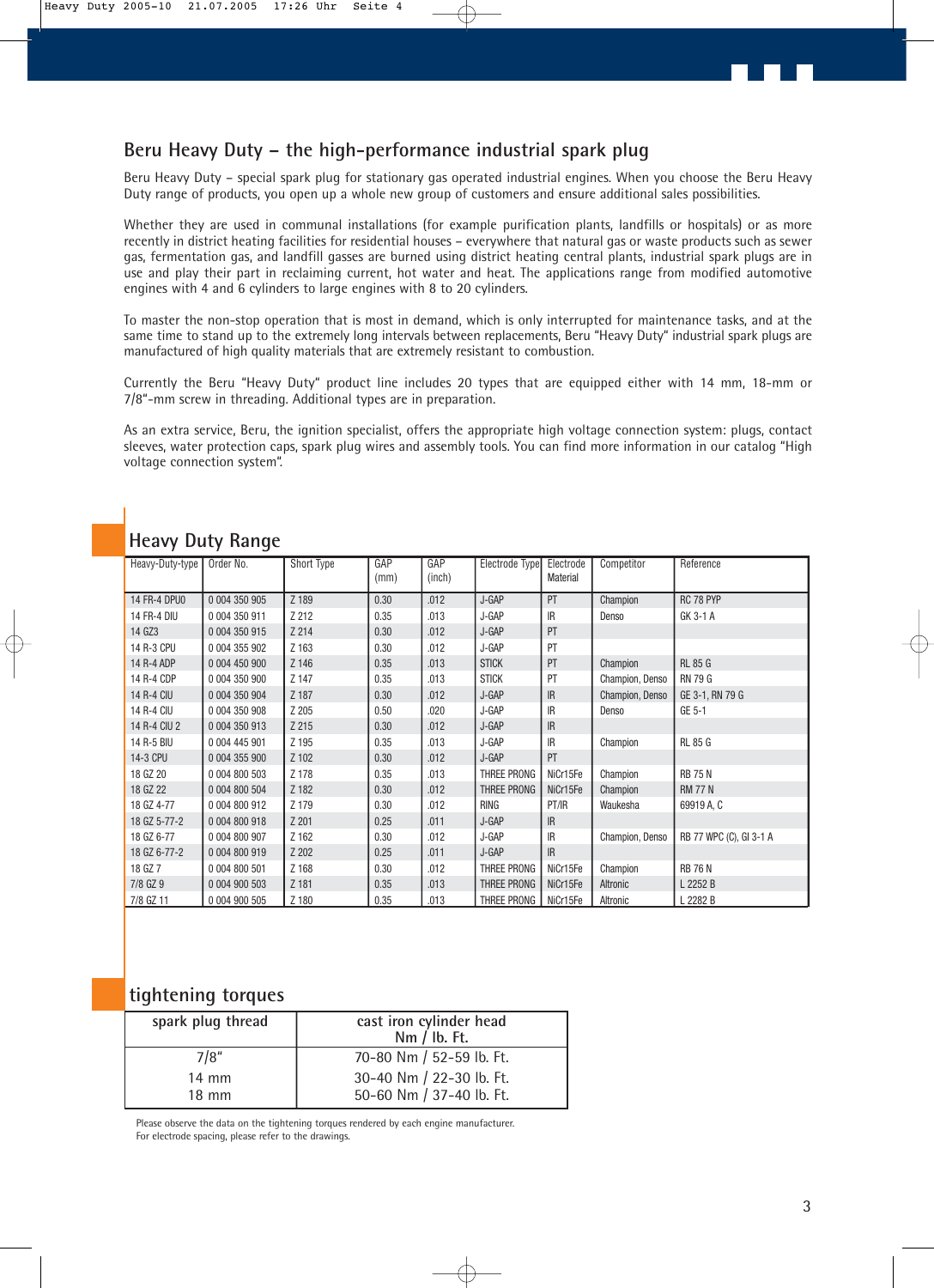### **Beru Heavy Duty – the high-performance industrial spark plug**

Beru Heavy Duty – special spark plug for stationary gas operated industrial engines. When you choose the Beru Heavy Duty range of products, you open up a whole new group of customers and ensure additional sales possibilities.

Whether they are used in communal installations (for example purification plants, landfills or hospitals) or as more recently in district heating facilities for residential houses – everywhere that natural gas or waste products such as sewer gas, fermentation gas, and landfill gasses are burned using district heating central plants, industrial spark plugs are in use and play their part in reclaiming current, hot water and heat. The applications range from modified automotive engines with 4 and 6 cylinders to large engines with 8 to 20 cylinders.

To master the non-stop operation that is most in demand, which is only interrupted for maintenance tasks, and at the same time to stand up to the extremely long intervals between replacements, Beru "Heavy Duty" industrial spark plugs are manufactured of high quality materials that are extremely resistant to combustion.

Currently the Beru "Heavy Duty" product line includes 20 types that are equipped either with 14 mm, 18-mm or 7/8"-mm screw in threading. Additional types are in preparation.

As an extra service, Beru, the ignition specialist, offers the appropriate high voltage connection system: plugs, contact sleeves, water protection caps, spark plug wires and assembly tools. You can find more information in our catalog "High voltage connection system".

| Heavy-Duty-type    | Order No.     | Short Type | GAP<br>(mm) | GAP<br>(inch) | Electrode Type | Electrode<br><b>Material</b> | Competitor      | Reference               |
|--------------------|---------------|------------|-------------|---------------|----------------|------------------------------|-----------------|-------------------------|
| 14 FR-4 DPU0       | 0 004 350 905 | Z 189      | 0.30        | .012          | J-GAP          | PT                           | Champion        | RC 78 PYP               |
| <b>14 FR-4 DIU</b> | 0 004 350 911 | Z 212      | 0.35        | .013          | J-GAP          | IR                           | Denso           | GK 3-1 A                |
| 14 GZ3             | 0 004 350 915 | Z 214      | 0.30        | .012          | J-GAP          | PT                           |                 |                         |
| 14 R-3 CPU         | 0 004 355 902 | Z 163      | 0.30        | .012          | J-GAP          | PT                           |                 |                         |
| 14 R-4 ADP         | 0 004 450 900 | Z 146      | 0.35        | .013          | <b>STICK</b>   | PT                           | Champion        | <b>RL 85 G</b>          |
| 14 R-4 CDP         | 0 004 350 900 | Z 147      | 0.35        | .013          | <b>STICK</b>   | PT                           | Champion, Denso | <b>RN 79 G</b>          |
| 14 R-4 CIU         | 0 004 350 904 | Z 187      | 0.30        | .012          | J-GAP          | IR                           | Champion, Denso | GE 3-1, RN 79 G         |
| 14 R-4 CIU         | 0 004 350 908 | Z 205      | 0.50        | .020          | J-GAP          | <b>IR</b>                    | Denso           | GE 5-1                  |
| 14 R-4 CIU 2       | 0 004 350 913 | Z 215      | 0.30        | .012          | J-GAP          | IR                           |                 |                         |
| 14 R-5 BIU         | 0 004 445 901 | Z 195      | 0.35        | .013          | J-GAP          | IR                           | Champion        | <b>RL 85 G</b>          |
| 14-3 CPU           | 0 004 355 900 | Z 102      | 0.30        | .012          | J-GAP          | PT                           |                 |                         |
| 18 GZ 20           | 0 004 800 503 | Z 178      | 0.35        | .013          | THREE PRONG    | NiCr15Fe                     | Champion        | <b>RB 75 N</b>          |
| 18 GZ 22           | 0 004 800 504 | Z 182      | 0.30        | .012          | THREE PRONG    | NiCr15Fe                     | Champion        | <b>RM 77 N</b>          |
| 18 GZ 4-77         | 0 004 800 912 | Z 179      | 0.30        | .012          | <b>RING</b>    | PT/IR                        | Waukesha        | 69919 A, C              |
| 18 GZ 5-77-2       | 0 004 800 918 | Z 201      | 0.25        | .011          | J-GAP          | IR                           |                 |                         |
| 18 GZ 6-77         | 0 004 800 907 | Z 162      | 0.30        | .012          | J-GAP          | IR                           | Champion, Denso | RB 77 WPC (C), GI 3-1 A |
| 18 GZ 6-77-2       | 0 004 800 919 | Z 202      | 0.25        | .011          | J-GAP          | IR                           |                 |                         |
| 18 GZ 7            | 0 004 800 501 | Z 168      | 0.30        | .012          | THREE PRONG    | NiCr15Fe                     | Champion        | <b>RB 76 N</b>          |
| 7/8 GZ 9           | 0 004 900 503 | Z 181      | 0.35        | .013          | THREE PRONG    | NiCr15Fe                     | Altronic        | L 2252 B                |
| 7/8 GZ 11          | 0 004 900 505 | Z 180      | 0.35        | .013          | THREE PRONG    | NiCr15Fe                     | Altronic        | L 2282 B                |

### **Heavy Duty Range**

### **tightening torques**

| spark plug thread | cast iron cylinder head<br>Nm / lb. Ft. |
|-------------------|-----------------------------------------|
| 7/8"              | 70-80 Nm / 52-59 lb. Ft.                |
| $14 \text{ mm}$   | 30-40 Nm / 22-30 lb. Ft.                |
| $18 \text{ mm}$   | 50-60 Nm / 37-40 lb. Ft.                |

Please observe the data on the tightening torques rendered by each engine manufacturer. For electrode spacing, please refer to the drawings.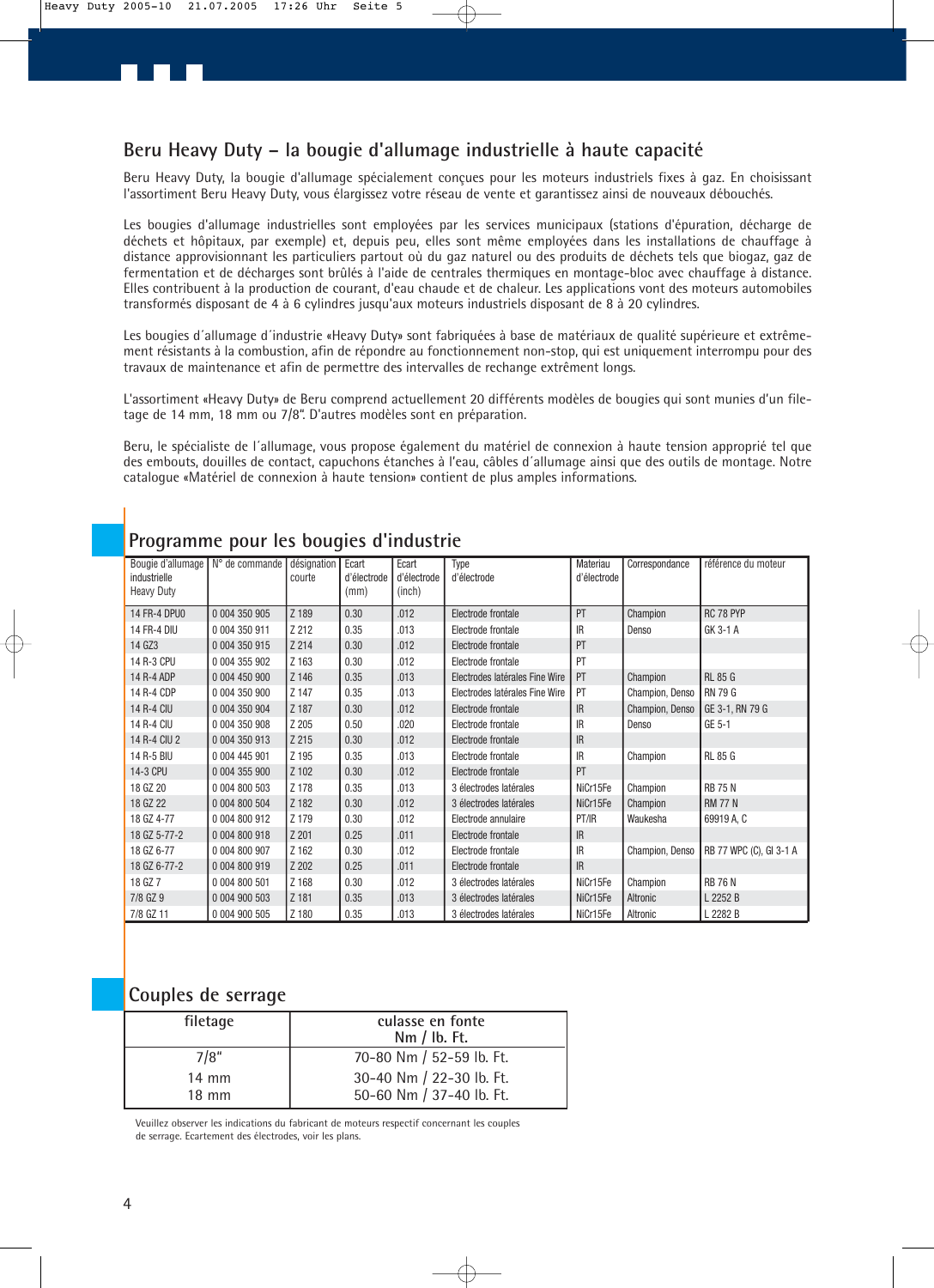Beru Heavy Duty, la bougie d'allumage spécialement conçues pour les moteurs industriels fixes à gaz. En choisissant l'assortiment Beru Heavy Duty, vous élargissez votre réseau de vente et garantissez ainsi de nouveaux débouchés.

Les bougies d'allumage industrielles sont employées par les services municipaux (stations d'épuration, décharge de déchets et hôpitaux, par exemple) et, depuis peu, elles sont même employées dans les installations de chauffage à distance approvisionnant les particuliers partout où du gaz naturel ou des produits de déchets tels que biogaz, gaz de fermentation et de décharges sont brûlés à l'aide de centrales thermiques en montage-bloc avec chauffage à distance. Elles contribuent à la production de courant, d'eau chaude et de chaleur. Les applications vont des moteurs automobiles transformés disposant de 4 à 6 cylindres jusqu'aux moteurs industriels disposant de 8 à 20 cylindres.

Les bougies d´allumage d´industrie «Heavy Duty» sont fabriquées à base de matériaux de qualité supérieure et extrêmement résistants à la combustion, afin de répondre au fonctionnement non-stop, qui est uniquement interrompu pour des travaux de maintenance et afin de permettre des intervalles de rechange extrêment longs.

L'assortiment «Heavy Duty» de Beru comprend actuellement 20 différents modèles de bougies qui sont munies d'un filetage de 14 mm, 18 mm ou 7/8". D'autres modèles sont en préparation.

Beru, le spécialiste de l´allumage, vous propose également du matériel de connexion à haute tension approprié tel que des embouts, douilles de contact, capuchons étanches à l'eau, câbles d´allumage ainsi que des outils de montage. Notre catalogue «Matériel de connexion à haute tension» contient de plus amples informations.

| Bougie d'allumage N° de commande |               | désignation | Ecart       | Ecart       | Type                           | Materiau    | Correspondance  | référence du moteur     |
|----------------------------------|---------------|-------------|-------------|-------------|--------------------------------|-------------|-----------------|-------------------------|
| industrielle                     |               | courte      | d'électrode | d'électrode | d'électrode                    | d'électrode |                 |                         |
| <b>Heavy Duty</b>                |               |             | (mm)        | (inch)      |                                |             |                 |                         |
| 14 FR-4 DPU0                     | 0 004 350 905 | Z 189       | 0.30        | .012        | Electrode frontale             | PT          | Champion        | RC 78 PYP               |
| 14 FR-4 DIU                      | 0 004 350 911 | Z 212       | 0.35        | .013        | Electrode frontale             | <b>IR</b>   | Denso           | GK 3-1 A                |
|                                  |               |             |             |             |                                |             |                 |                         |
| 14 GZ3                           | 0 004 350 915 | Z 214       | 0.30        | .012        | Electrode frontale             | PT          |                 |                         |
| 14 R-3 CPU                       | 0 004 355 902 | Z 163       | 0.30        | .012        | Electrode frontale             | PT          |                 |                         |
| 14 R-4 ADP                       | 0 004 450 900 | Z 146       | 0.35        | .013        | Electrodes latérales Fine Wire | PT          | Champion        | <b>RL 85 G</b>          |
| 14 R-4 CDP                       | 0 004 350 900 | Z 147       | 0.35        | .013        | Electrodes latérales Fine Wire | PT          | Champion, Denso | <b>RN 79 G</b>          |
| 14 R-4 CIU                       | 0 004 350 904 | Z 187       | 0.30        | .012        | Electrode frontale             | IR          | Champion, Denso | GE 3-1, RN 79 G         |
| 14 R-4 CIU                       | 0 004 350 908 | Z 205       | 0.50        | .020        | Electrode frontale             | <b>IR</b>   | Denso           | GE 5-1                  |
| 14 R-4 CIU 2                     | 0 004 350 913 | Z 215       | 0.30        | .012        | Electrode frontale             | IR          |                 |                         |
| 14 R-5 BIU                       | 0 004 445 901 | Z 195       | 0.35        | .013        | Electrode frontale             | <b>IR</b>   | Champion        | <b>RL 85 G</b>          |
| 14-3 CPU                         | 0 004 355 900 | Z 102       | 0.30        | .012        | Electrode frontale             | PT          |                 |                         |
| 18 GZ 20                         | 0 004 800 503 | Z 178       | 0.35        | .013        | 3 électrodes latérales         | NiCr15Fe    | Champion        | <b>RB 75 N</b>          |
| 18 GZ 22                         | 0 004 800 504 | Z 182       | 0.30        | .012        | 3 électrodes latérales         | NiCr15Fe    | Champion        | <b>RM 77 N</b>          |
| 18 GZ 4-77                       | 0 004 800 912 | Z 179       | 0.30        | .012        | Electrode annulaire            | PT/IR       | Waukesha        | 69919 A, C              |
| 18 GZ 5-77-2                     | 0 004 800 918 | Z 201       | 0.25        | .011        | Electrode frontale             | IR          |                 |                         |
| 18 GZ 6-77                       | 0 004 800 907 | Z 162       | 0.30        | .012        | Electrode frontale             | IR          | Champion, Denso | RB 77 WPC (C), GI 3-1 A |
| 18 GZ 6-77-2                     | 0 004 800 919 | Z 202       | 0.25        | .011        | Electrode frontale             | IR          |                 |                         |
| 18 GZ 7                          | 0 004 800 501 | Z 168       | 0.30        | .012        | 3 électrodes latérales         | NiCr15Fe    | Champion        | <b>RB 76 N</b>          |
| 7/8 GZ 9                         | 0 004 900 503 | Z 181       | 0.35        | .013        | 3 électrodes latérales         | NiCr15Fe    | Altronic        | L 2252 B                |
| 7/8 GZ 11                        | 0 004 900 505 | Z 180       | 0.35        | .013        | 3 électrodes latérales         | NiCr15Fe    | Altronic        | L 2282 B                |

### **Programme pour les bougies d'industrie**

### **Couples de serrage**

| filetage        | culasse en fonte<br>Nm / lb. Ft. |
|-----------------|----------------------------------|
| 7/8"            | 70-80 Nm / 52-59 lb. Ft.         |
| $14 \text{ mm}$ | 30-40 Nm / 22-30 lb. Ft.         |
| $18 \text{ mm}$ | 50-60 Nm / 37-40 lb. Ft.         |

Veuillez observer les indications du fabricant de moteurs respectif concernant les couples de serrage. Ecartement des électrodes, voir les plans.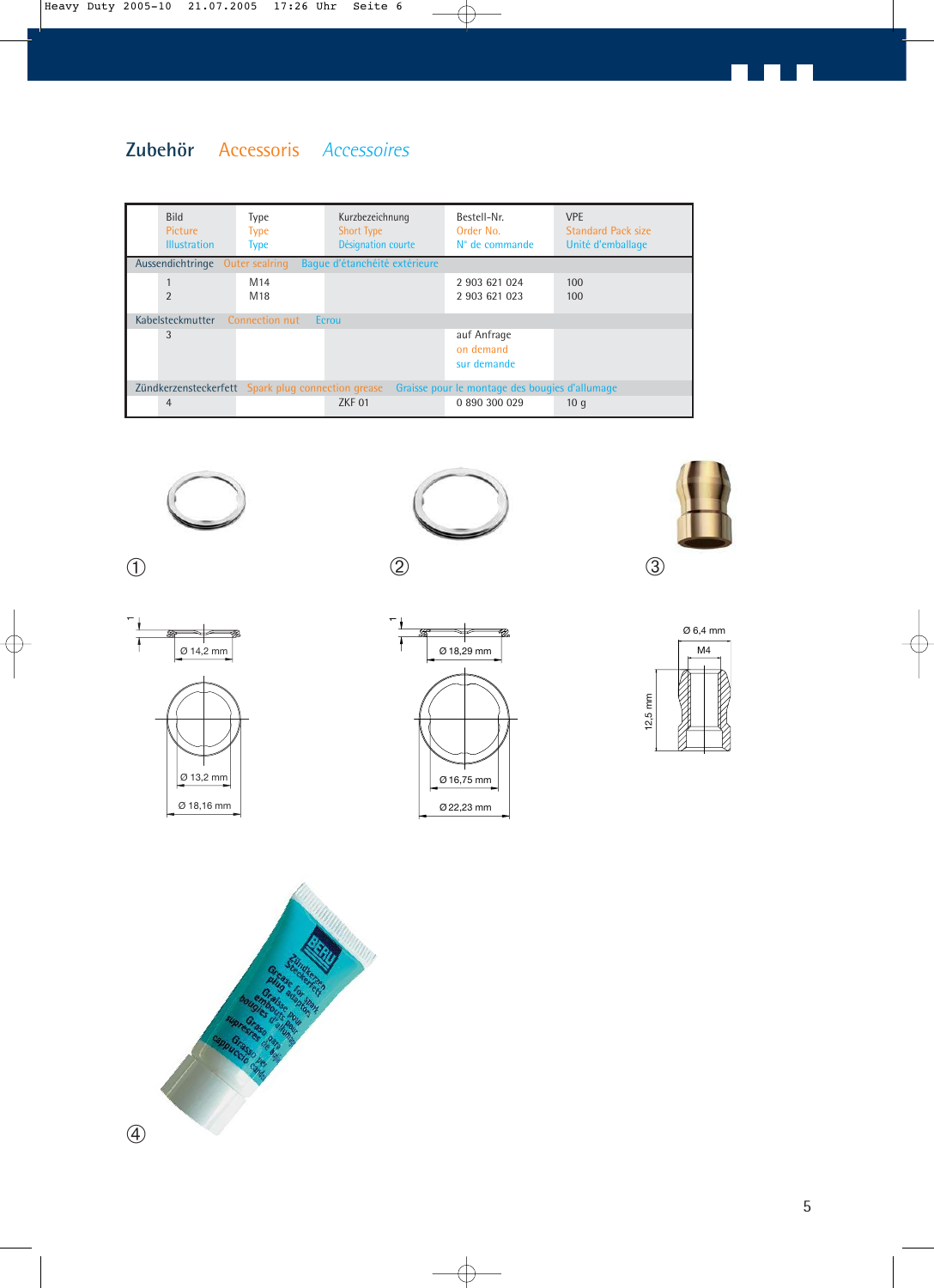### **Zubehör** Accessoris *Accessoires*

| <b>Bild</b><br>Picture<br><b>Illustration</b>                                                        | Type<br><b>Type</b><br><b>Type</b> | Kurzbezeichnung<br><b>Short Type</b><br>Désignation courte | Bestell-Nr.<br>Order No.<br>N° de commande | <b>VPE</b><br><b>Standard Pack size</b><br>Unité d'emballage |  |  |  |  |
|------------------------------------------------------------------------------------------------------|------------------------------------|------------------------------------------------------------|--------------------------------------------|--------------------------------------------------------------|--|--|--|--|
| Aussendichtringe Outer sealring                                                                      |                                    | Baque d'étanchéité extérieure                              |                                            |                                                              |  |  |  |  |
| $\mathfrak{D}$                                                                                       | M <sub>14</sub><br>M <sub>18</sub> |                                                            | 2 903 621 024<br>2 903 621 023             | 100<br>100                                                   |  |  |  |  |
| Connection nut<br>Kabelsteckmutter<br>Ecrou                                                          |                                    |                                                            |                                            |                                                              |  |  |  |  |
| 3                                                                                                    |                                    |                                                            | auf Anfrage<br>on demand<br>sur demande    |                                                              |  |  |  |  |
| Zündkerzensteckerfett Spark plug connection grease<br>Graisse pour le montage des bougies d'allumage |                                    |                                                            |                                            |                                                              |  |  |  |  |
| $\overline{4}$                                                                                       |                                    | ZKF 01                                                     | 0 890 300 029                              | 10q                                                          |  |  |  |  |





① and  $\qquad \qquad \textcircled{1}$  and  $\qquad \qquad \textcircled{2}$ 





12,5 mm Ø 6,4 mm

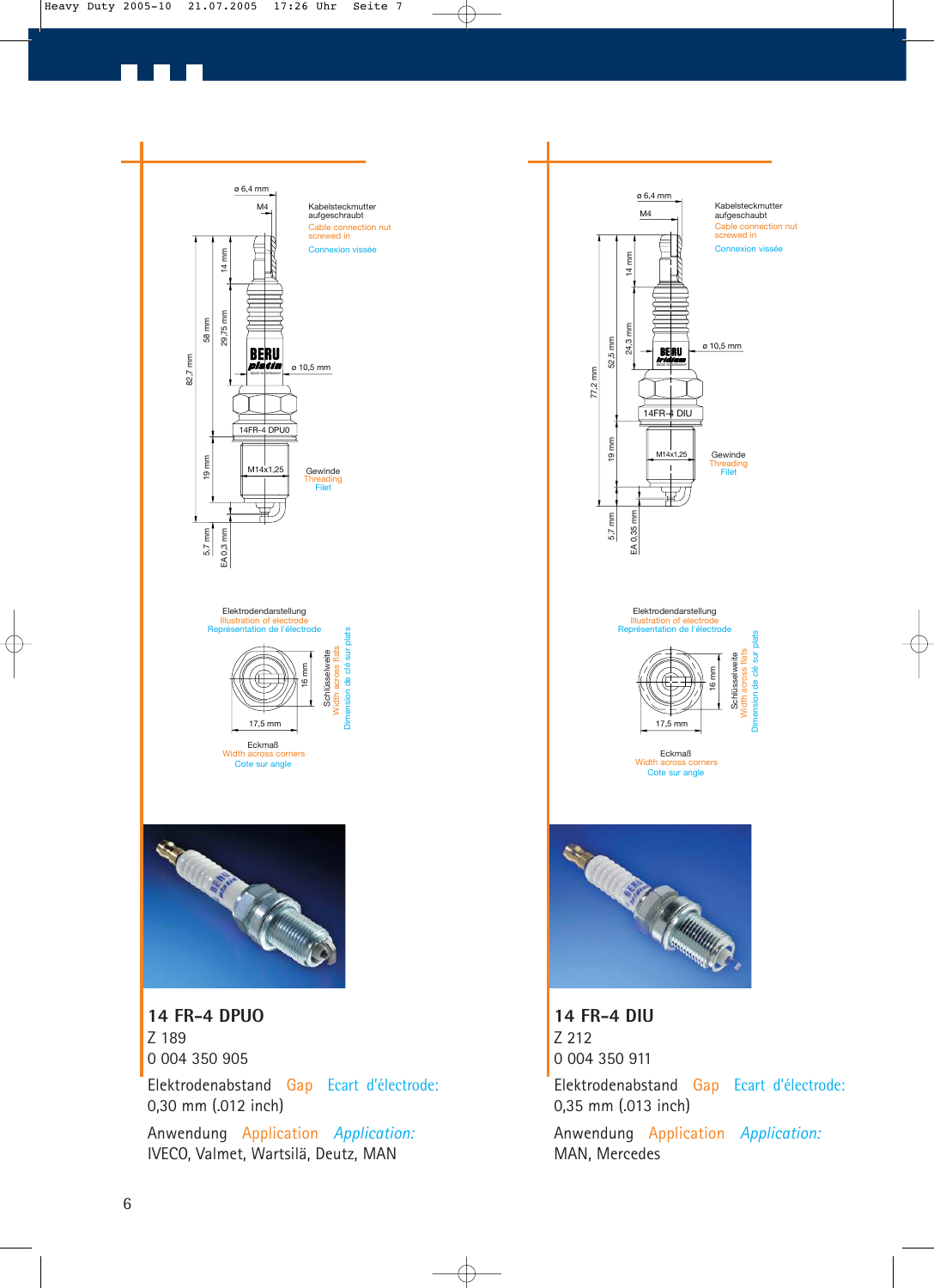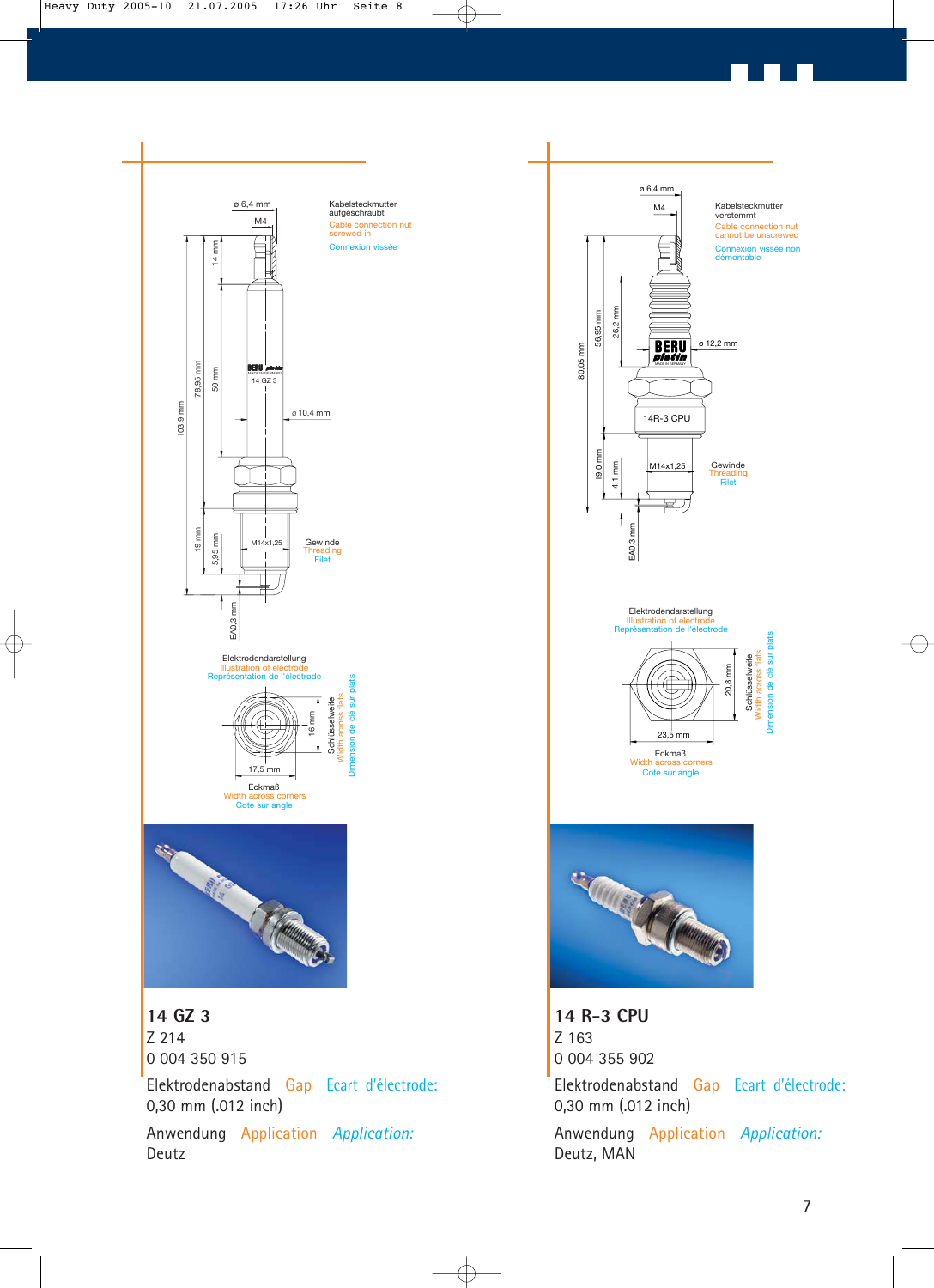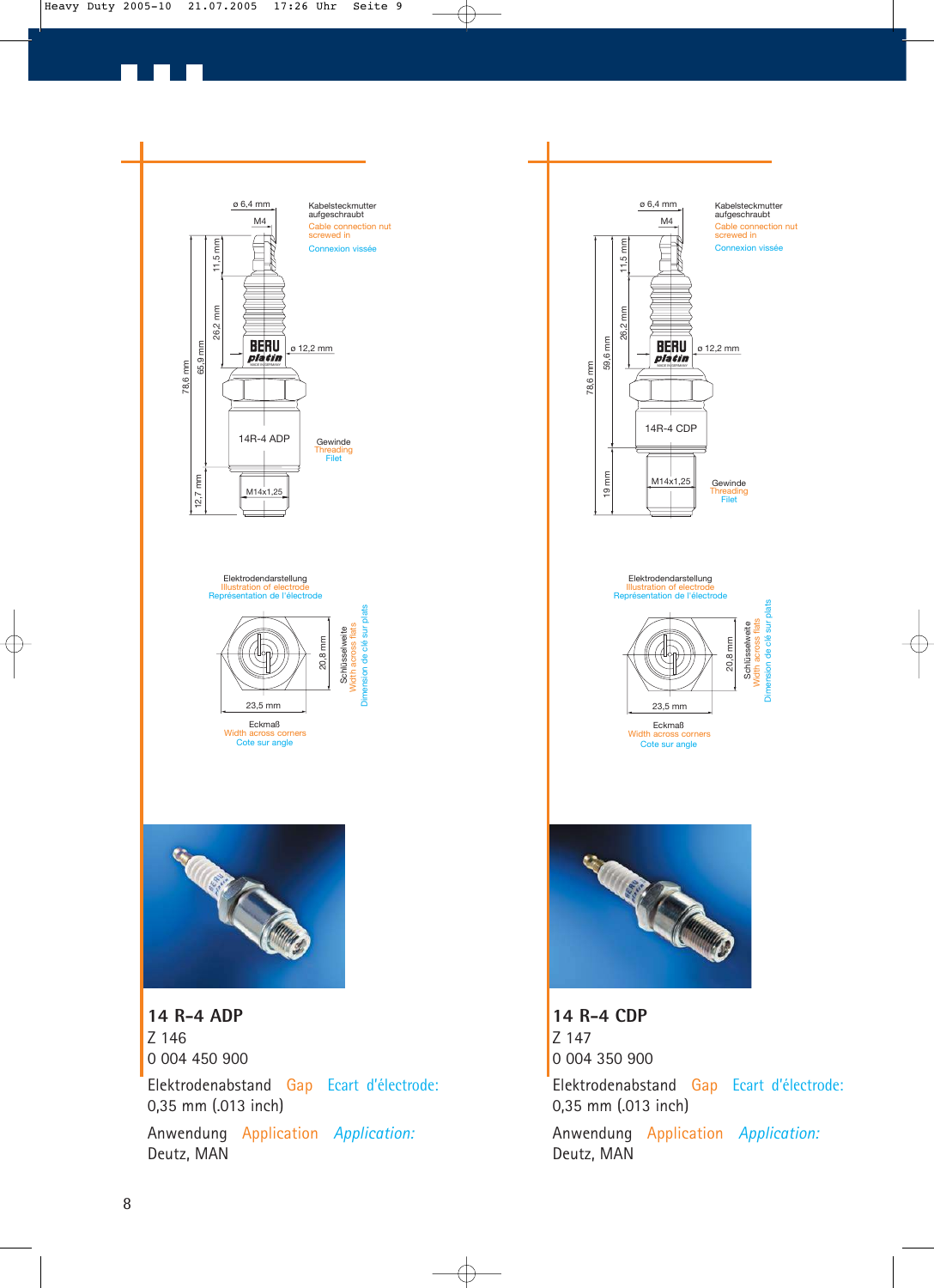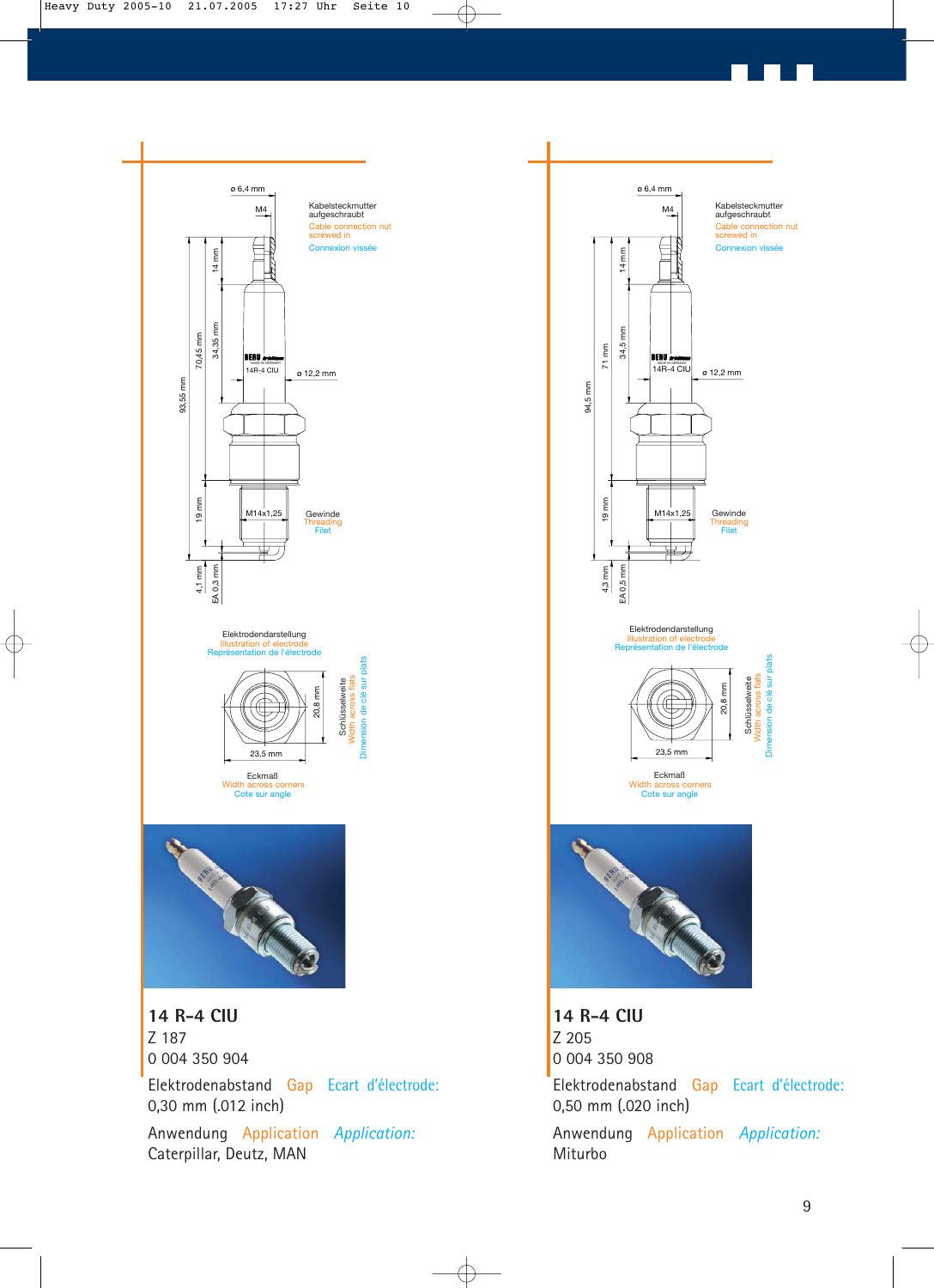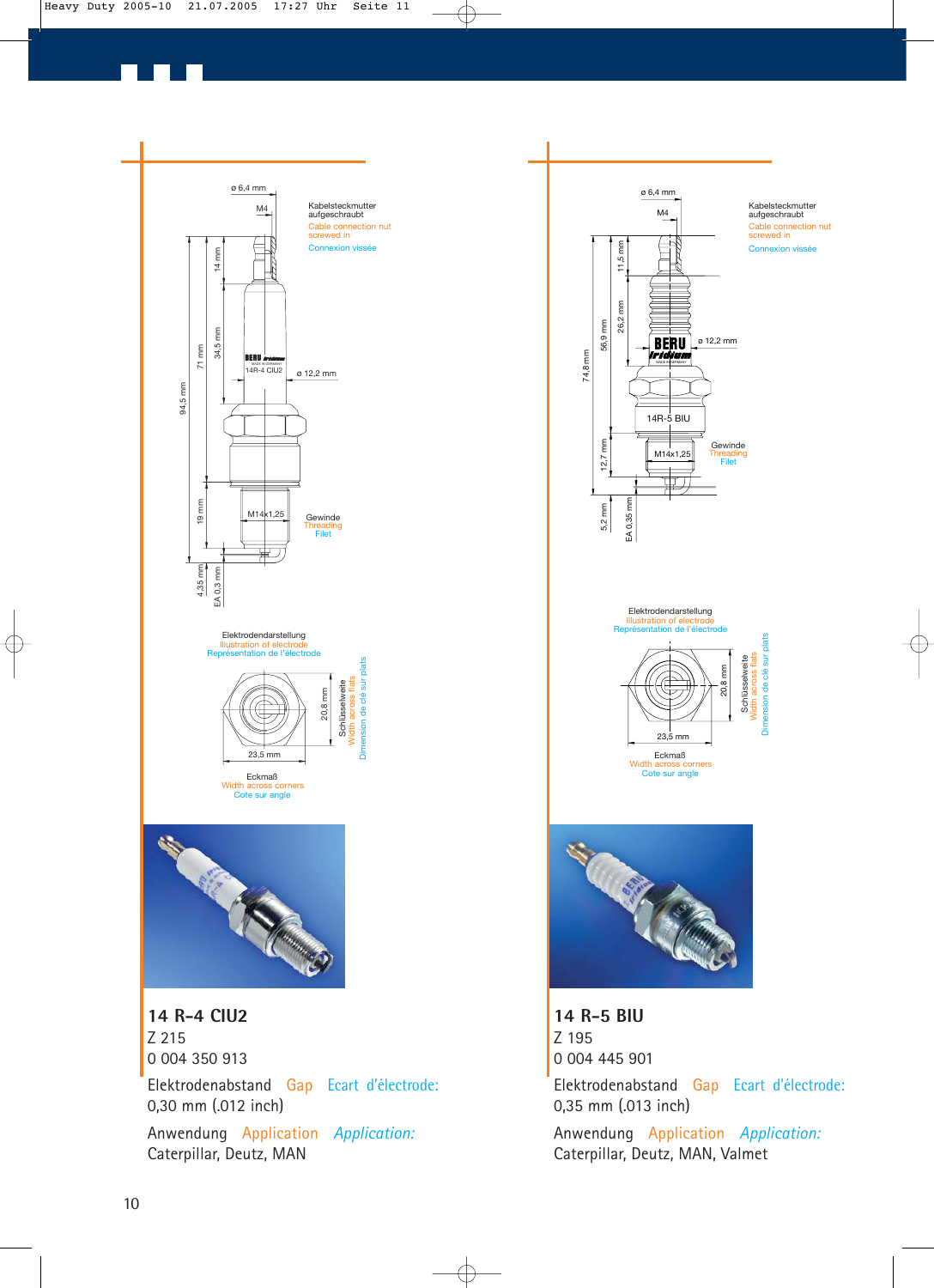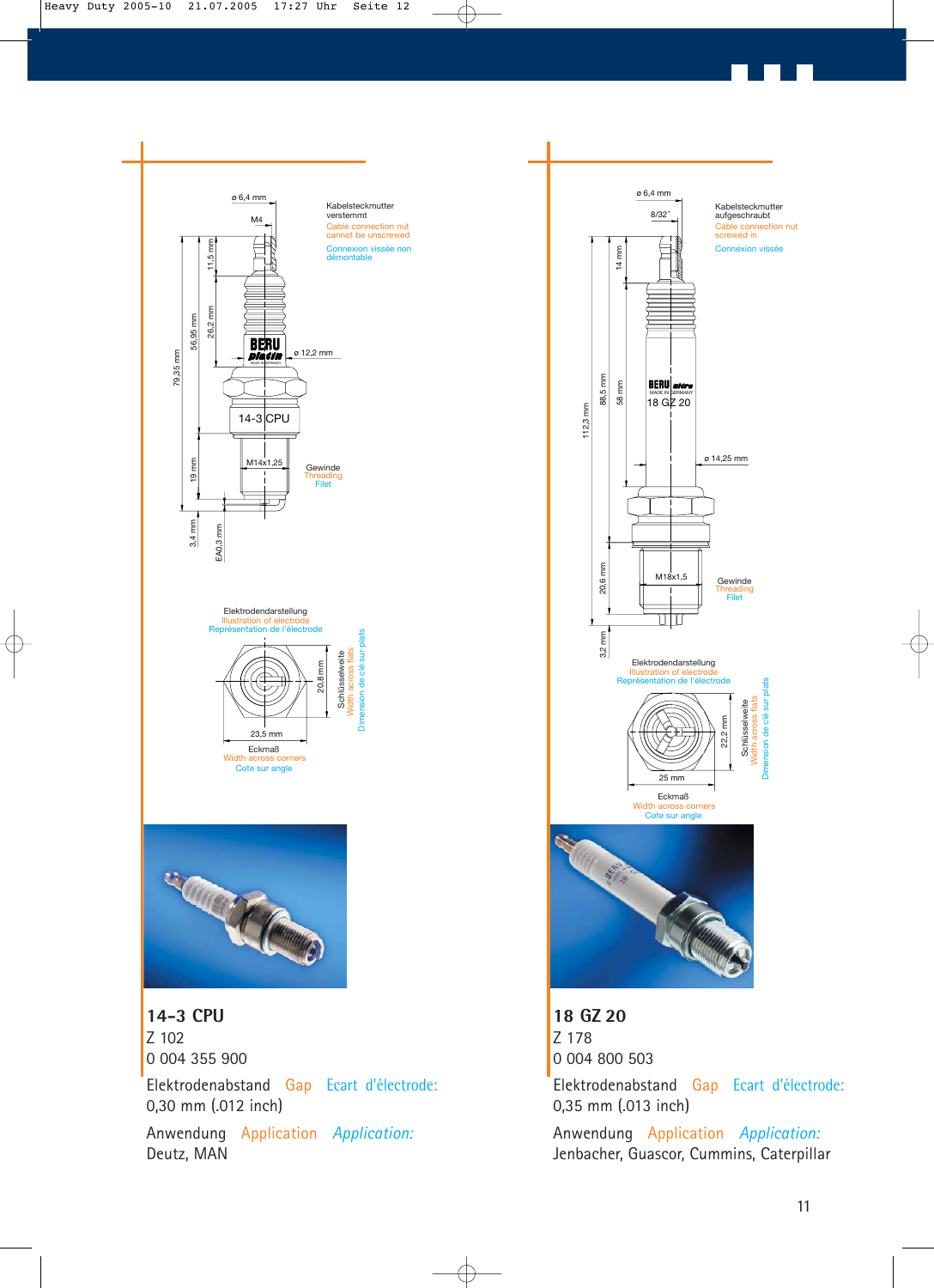

Anwendung Application *Application:* Deutz, MAN



Anwendung Application *Application:* Jenbacher, Guascor, Cummins, Caterpillar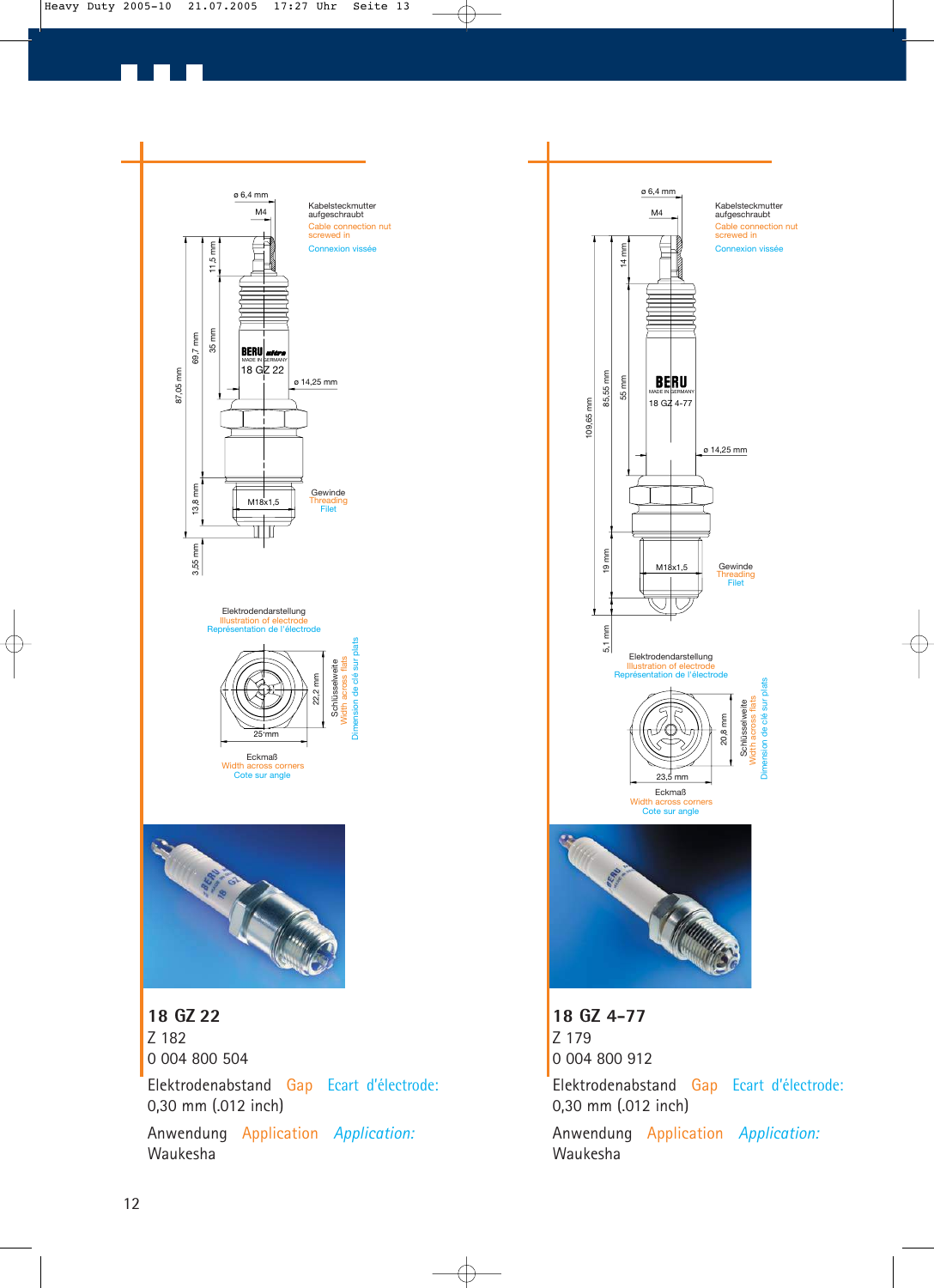

Anwendung Application *Application:* Waukesha



Anwendung Application *Application:* Waukesha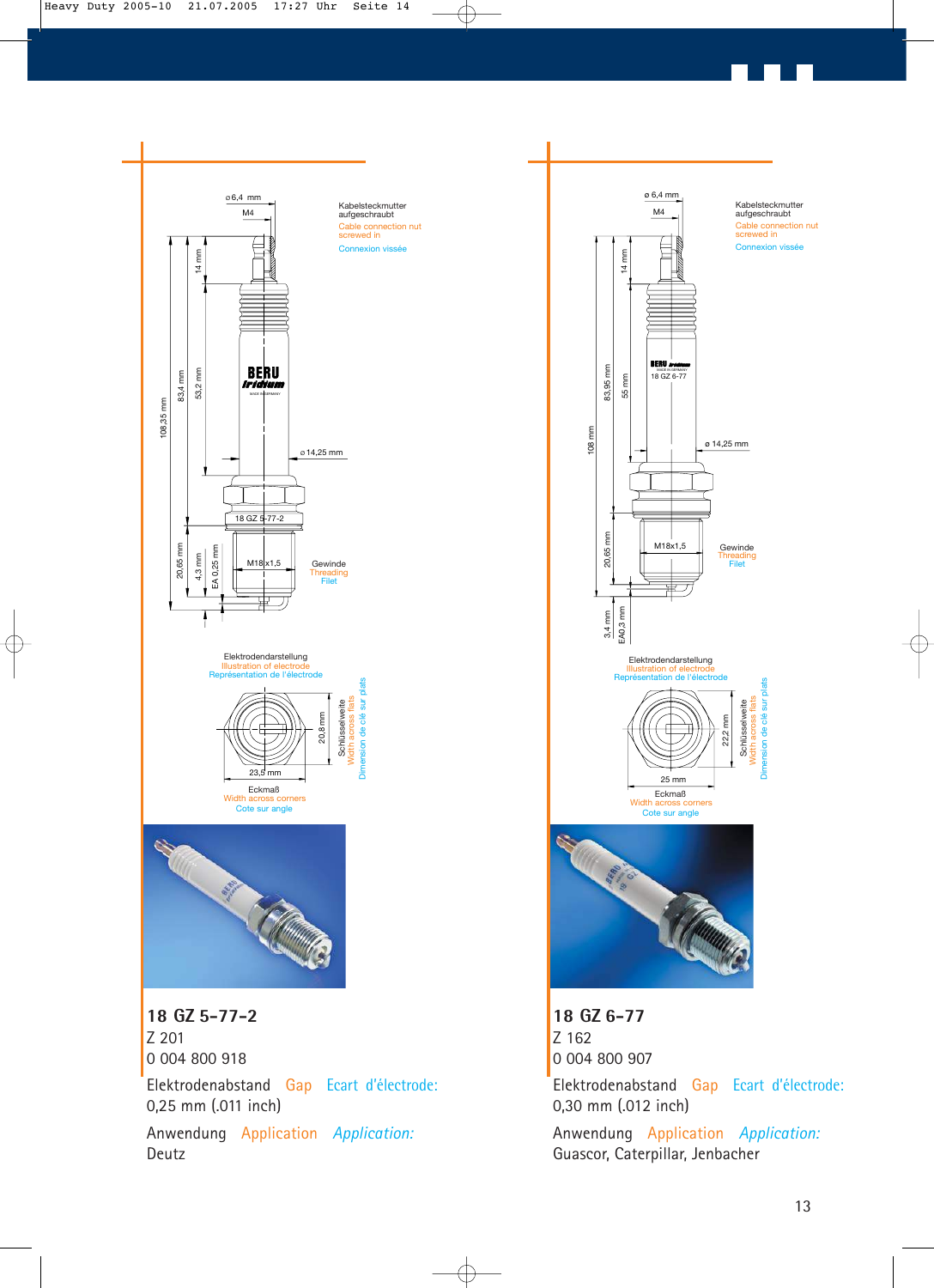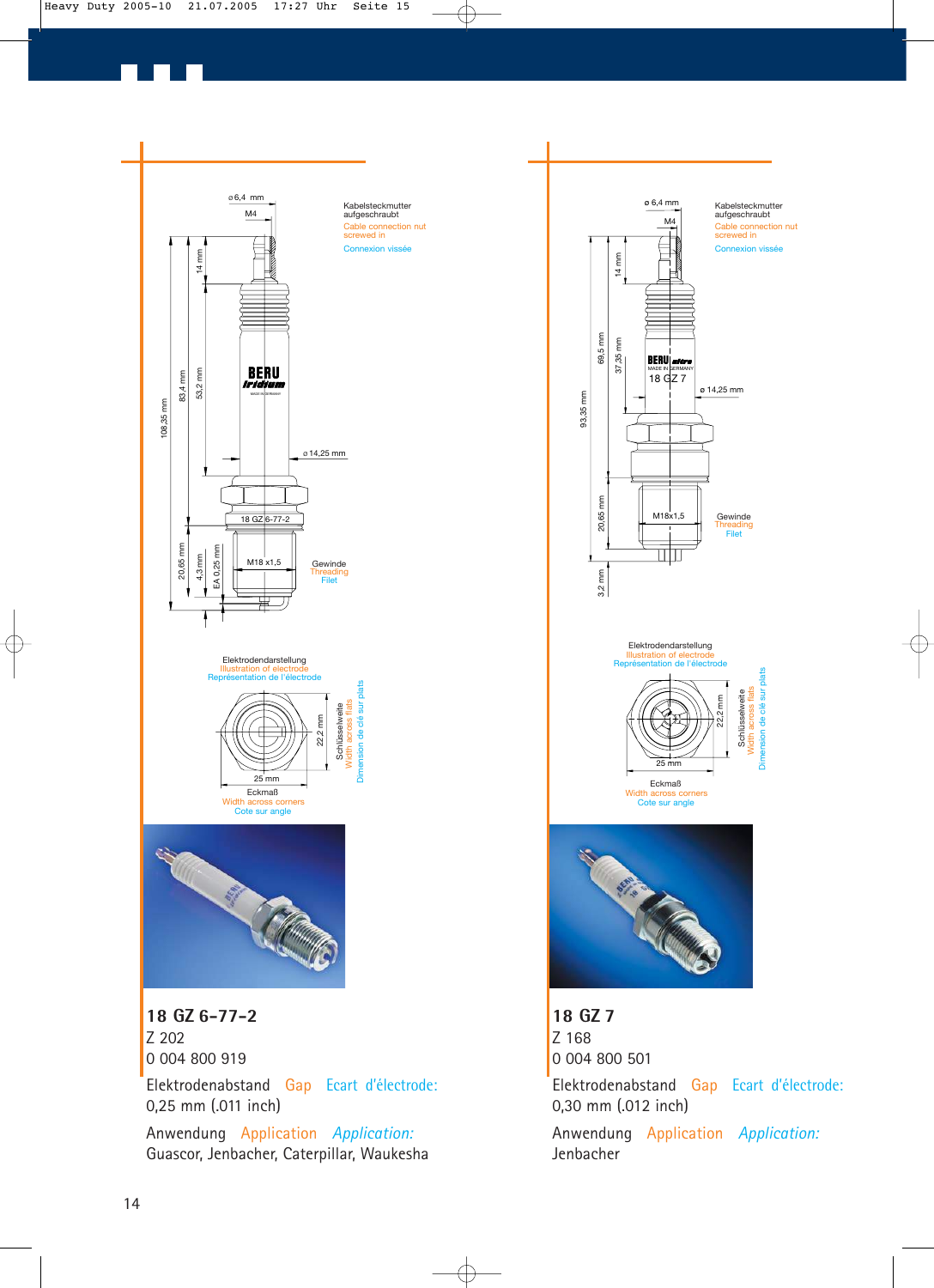![](_page_13_Figure_0.jpeg)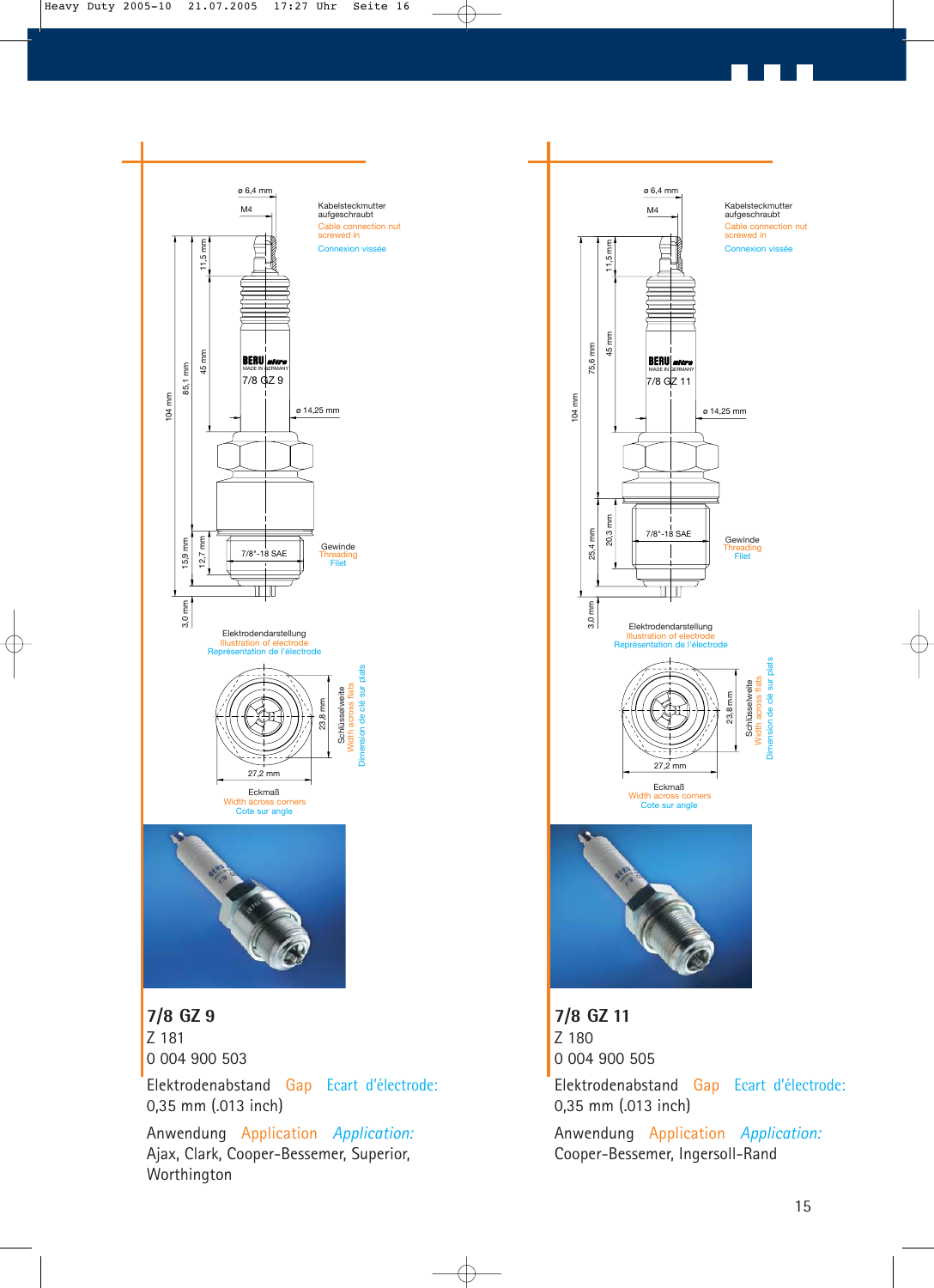![](_page_14_Figure_0.jpeg)

Ajax, Clark, Cooper-Bessemer, Superior,

Worthington

ø 14,25 mm Connexion vissée Cable connection nut screwed in

Kabelsteckmutter aufgeschraubt

23,8 mm

Schlüsselweite

Width across flats

**Gewinde** 

Threading

Dimension de clé sur plats

à

plats flats Width across flats<br>ension de clé sur Schlüsselweite

Cooper-Bessemer, Ingersoll-Rand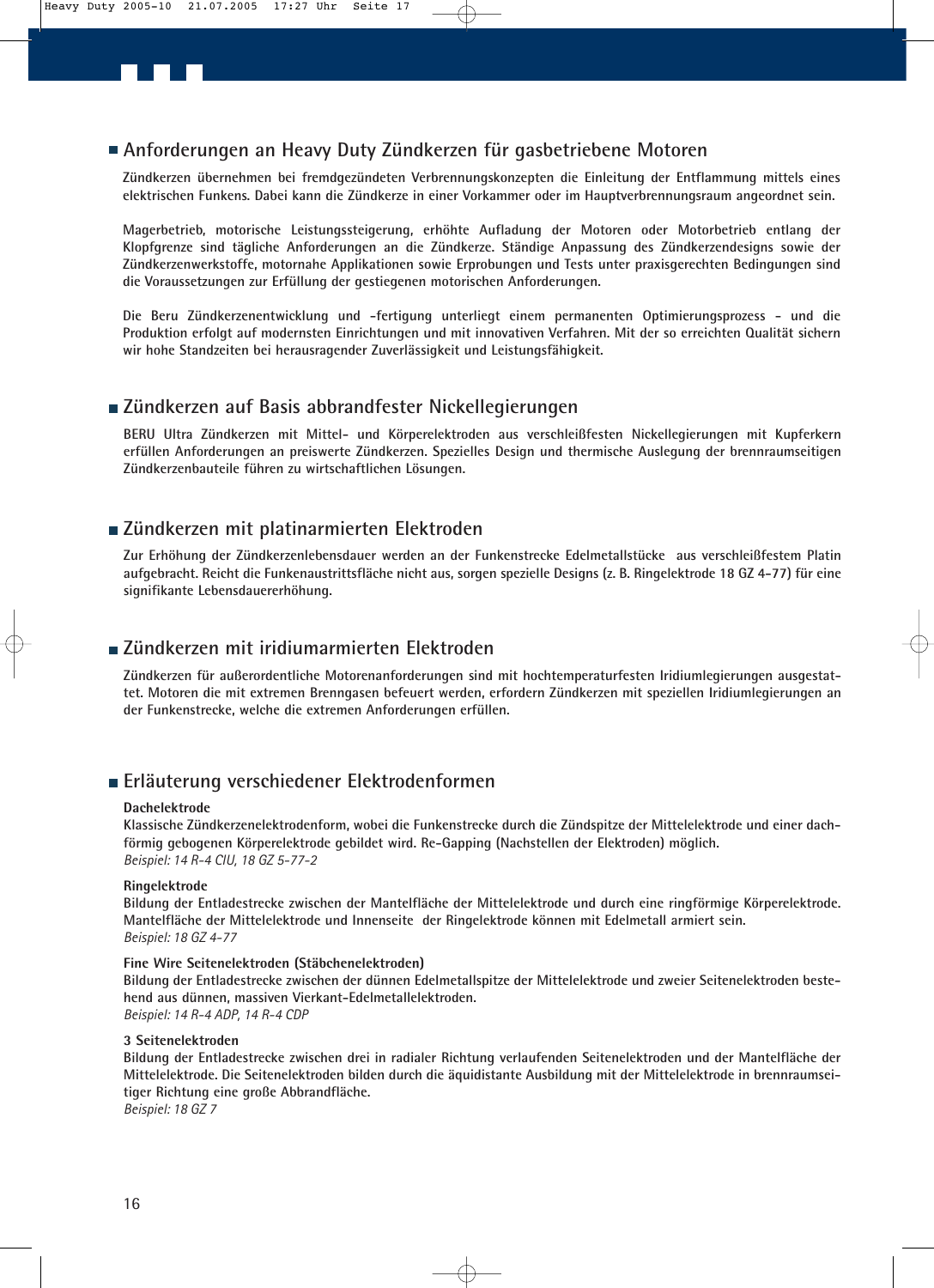### **Anforderungen an Heavy Duty Zündkerzen für gasbetriebene Motoren**

**Zündkerzen übernehmen bei fremdgezündeten Verbrennungskonzepten die Einleitung der Entflammung mittels eines elektrischen Funkens. Dabei kann die Zündkerze in einer Vorkammer oder im Hauptverbrennungsraum angeordnet sein.**

**Magerbetrieb, motorische Leistungssteigerung, erhöhte Aufladung der Motoren oder Motorbetrieb entlang der Klopfgrenze sind tägliche Anforderungen an die Zündkerze. Ständige Anpassung des Zündkerzendesigns sowie der Zündkerzenwerkstoffe, motornahe Applikationen sowie Erprobungen und Tests unter praxisgerechten Bedingungen sind die Voraussetzungen zur Erfüllung der gestiegenen motorischen Anforderungen.**

**Die Beru Zündkerzenentwicklung und -fertigung unterliegt einem permanenten Optimierungsprozess - und die Produktion erfolgt auf modernsten Einrichtungen und mit innovativen Verfahren. Mit der so erreichten Qualität sichern wir hohe Standzeiten bei herausragender Zuverlässigkeit und Leistungsfähigkeit.**

### **Zündkerzen auf Basis abbrandfester Nickellegierungen**

**BERU Ultra Zündkerzen mit Mittel- und Körperelektroden aus verschleißfesten Nickellegierungen mit Kupferkern erfüllen Anforderungen an preiswerte Zündkerzen. Spezielles Design und thermische Auslegung der brennraumseitigen Zündkerzenbauteile führen zu wirtschaftlichen Lösungen.** 

### **Zündkerzen mit platinarmierten Elektroden**

**Zur Erhöhung der Zündkerzenlebensdauer werden an der Funkenstrecke Edelmetallstücke aus verschleißfestem Platin aufgebracht. Reicht die Funkenaustrittsfläche nicht aus, sorgen spezielle Designs (z. B. Ringelektrode 18 GZ 4-77) für eine signifikante Lebensdauererhöhung.**

### **Zündkerzen mit iridiumarmierten Elektroden**

**Zündkerzen für außerordentliche Motorenanforderungen sind mit hochtemperaturfesten Iridiumlegierungen ausgestattet. Motoren die mit extremen Brenngasen befeuert werden, erfordern Zündkerzen mit speziellen Iridiumlegierungen an der Funkenstrecke, welche die extremen Anforderungen erfüllen.**

### **Erläuterung verschiedener Elektrodenformen**

### **Dachelektrode**

**Klassische Zündkerzenelektrodenform, wobei die Funkenstrecke durch die Zündspitze der Mittelelektrode und einer dachförmig gebogenen Körperelektrode gebildet wird. Re-Gapping (Nachstellen der Elektroden) möglich.** *Beispiel: 14 R-4 CIU, 18 GZ 5-77-2*

### **Ringelektrode**

**Bildung der Entladestrecke zwischen der Mantelfläche der Mittelelektrode und durch eine ringförmige Körperelektrode. Mantelfläche der Mittelelektrode und Innenseite der Ringelektrode können mit Edelmetall armiert sein.** *Beispiel: 18 GZ 4-77*

### **Fine Wire Seitenelektroden (Stäbchenelektroden)**

**Bildung der Entladestrecke zwischen der dünnen Edelmetallspitze der Mittelelektrode und zweier Seitenelektroden bestehend aus dünnen, massiven Vierkant-Edelmetallelektroden.** *Beispiel: 14 R-4 ADP, 14 R-4 CDP*

### **3 Seitenelektroden**

**Bildung der Entladestrecke zwischen drei in radialer Richtung verlaufenden Seitenelektroden und der Mantelfläche der Mittelelektrode. Die Seitenelektroden bilden durch die äquidistante Ausbildung mit der Mittelelektrode in brennraumseitiger Richtung eine große Abbrandfläche.** *Beispiel: 18 GZ 7*

16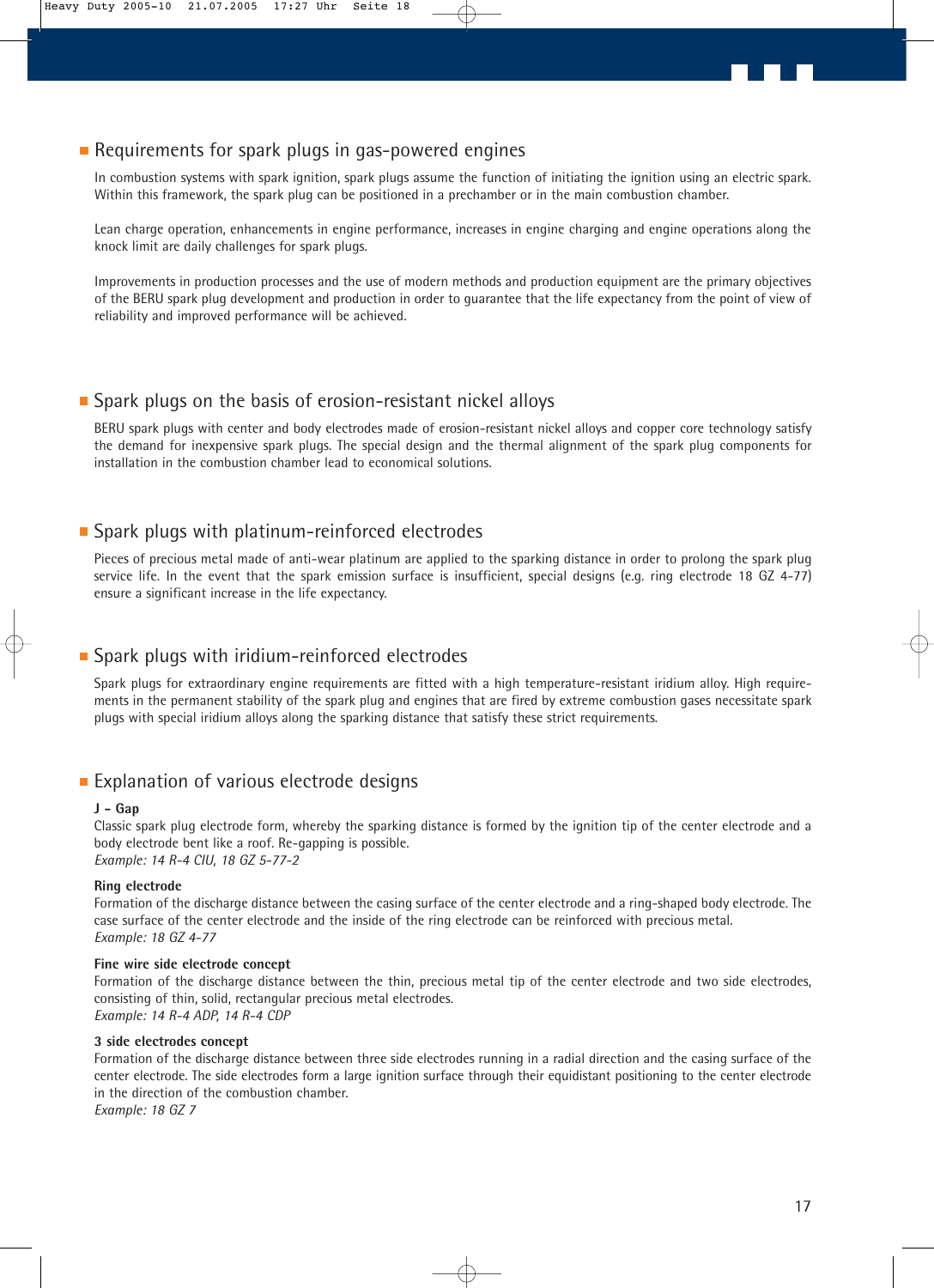### Requirements for spark plugs in gas-powered engines

In combustion systems with spark ignition, spark plugs assume the function of initiating the ignition using an electric spark. Within this framework, the spark plug can be positioned in a prechamber or in the main combustion chamber.

Lean charge operation, enhancements in engine performance, increases in engine charging and engine operations along the knock limit are daily challenges for spark plugs.

Improvements in production processes and the use of modern methods and production equipment are the primary objectives of the BERU spark plug development and production in order to guarantee that the life expectancy from the point of view of reliability and improved performance will be achieved.

### **Spark plugs on the basis of erosion-resistant nickel alloys**

BERU spark plugs with center and body electrodes made of erosion-resistant nickel alloys and copper core technology satisfy the demand for inexpensive spark plugs. The special design and the thermal alignment of the spark plug components for installation in the combustion chamber lead to economical solutions.

### ■ Spark plugs with platinum-reinforced electrodes

Pieces of precious metal made of anti-wear platinum are applied to the sparking distance in order to prolong the spark plug service life. In the event that the spark emission surface is insufficient, special designs (e.g. ring electrode 18 GZ 4-77) ensure a significant increase in the life expectancy.

### **Spark plugs with iridium-reinforced electrodes**

Spark plugs for extraordinary engine requirements are fitted with a high temperature-resistant iridium alloy. High requirements in the permanent stability of the spark plug and engines that are fired by extreme combustion gases necessitate spark plugs with special iridium alloys along the sparking distance that satisfy these strict requirements.

### **Explanation of various electrode designs**

### **J - Gap**

Classic spark plug electrode form, whereby the sparking distance is formed by the ignition tip of the center electrode and a body electrode bent like a roof. Re-gapping is possible. *Example: 14 R-4 CIU, 18 GZ 5-77-2*

### **Ring electrode**

Formation of the discharge distance between the casing surface of the center electrode and a ring-shaped body electrode. The case surface of the center electrode and the inside of the ring electrode can be reinforced with precious metal. *Example: 18 GZ 4-77*

### **Fine wire side electrode concept**

Formation of the discharge distance between the thin, precious metal tip of the center electrode and two side electrodes, consisting of thin, solid, rectangular precious metal electrodes. *Example: 14 R-4 ADP, 14 R-4 CDP*

### **3 side electrodes concept**

Formation of the discharge distance between three side electrodes running in a radial direction and the casing surface of the center electrode. The side electrodes form a large ignition surface through their equidistant positioning to the center electrode in the direction of the combustion chamber. *Example: 18 GZ 7*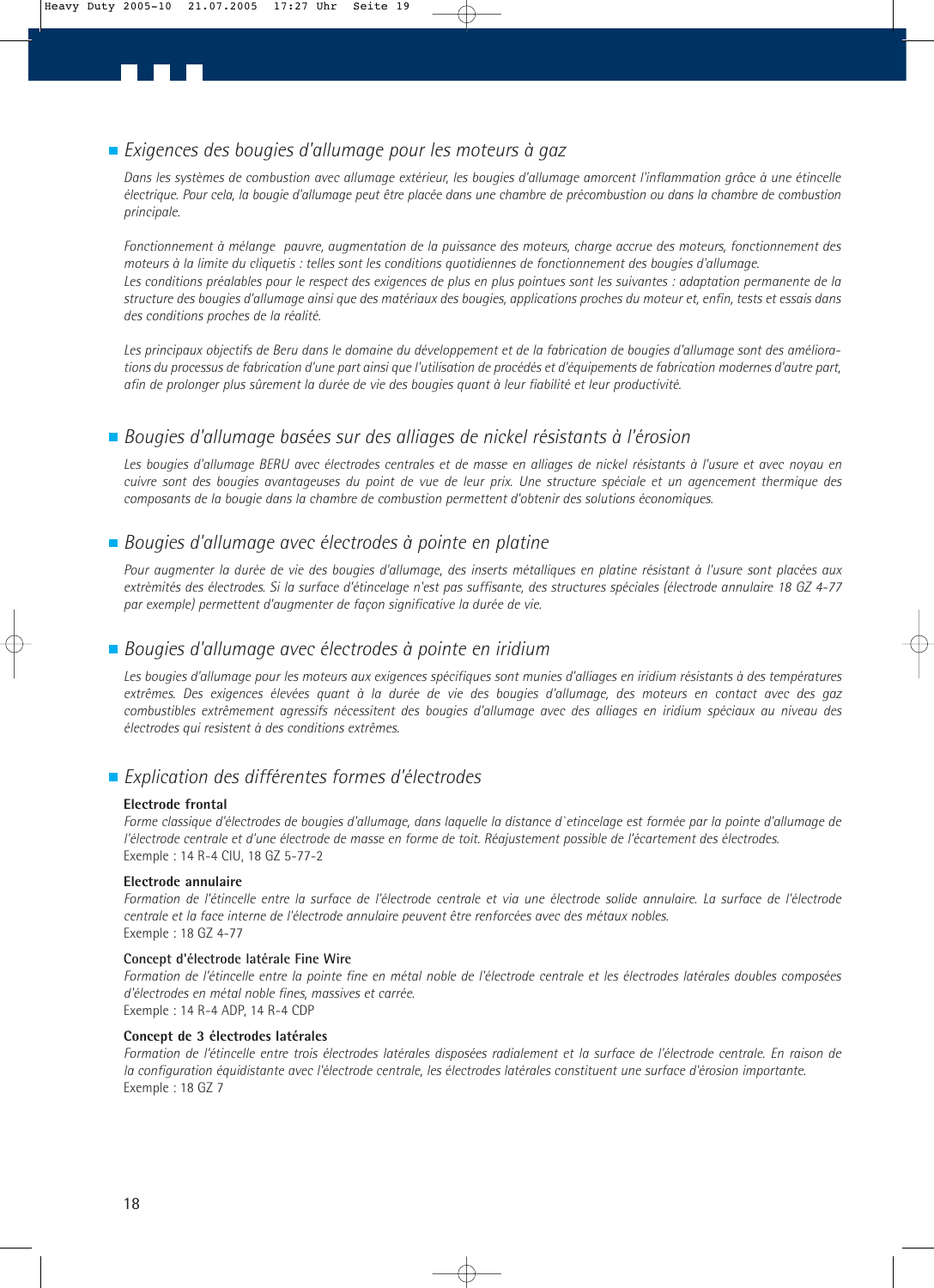### *Exigences des bougies d'allumage pour les moteurs à gaz*

*Dans les systèmes de combustion avec allumage extérieur, les bougies d'allumage amorcent l'inflammation grâce à une étincelle électrique. Pour cela, la bougie d'allumage peut être placée dans une chambre de précombustion ou dans la chambre de combustion principale.*

*Fonctionnement à mélange pauvre, augmentation de la puissance des moteurs, charge accrue des moteurs, fonctionnement des moteurs à la limite du cliquetis : telles sont les conditions quotidiennes de fonctionnement des bougies d'allumage. Les conditions préalables pour le respect des exigences de plus en plus pointues sont les suivantes : adaptation permanente de la structure des bougies d'allumage ainsi que des matériaux des bougies, applications proches du moteur et, enfin, tests et essais dans des conditions proches de la réalité.*

*Les principaux objectifs de Beru dans le domaine du développement et de la fabrication de bougies d'allumage sont des améliorations du processus de fabrication d'une part ainsi que l'utilisation de procédés et d'équipements de fabrication modernes d'autre part, afin de prolonger plus sûrement la durée de vie des bougies quant à leur fiabilité et leur productivité.*

### *Bougies d'allumage basées sur des alliages de nickel résistants à l'érosion*

Les bougies d'allumage BERU avec électrodes centrales et de masse en alliages de nickel résistants à l'usure et avec noyau en *cuivre sont des bougies avantageuses du point de vue de leur prix. Une structure spéciale et un agencement thermique des composants de la bougie dans la chambre de combustion permettent d'obtenir des solutions économiques.* 

### *Bougies d'allumage avec électrodes à pointe en platine*

*Pour augmenter la durée de vie des bougies d'allumage, des inserts métalliques en platine résistant à l'usure sont placées aux extrèmités des électrodes. Si la surface d'étincelage n'est pas suffisante, des structures spéciales (électrode annulaire 18 GZ 4-77 par exemple) permettent d'augmenter de façon significative la durée de vie.*

### *Bougies d'allumage avec électrodes à pointe en iridium*

*Les bougies d'allumage pour les moteurs aux exigences spécifiques sont munies d'alliages en iridium résistants à des températures extrêmes. Des exigences élevées quant à la durée de vie des bougies d'allumage, des moteurs en contact avec des gaz combustibles extrêmement agressifs nécessitent des bougies d'allumage avec des alliages en iridium spéciaux au niveau des électrodes qui resistent à des conditions extrêmes.*

### *Explication des différentes formes d'électrodes*

### **Electrode frontal**

*Forme classique d'électrodes de bougies d'allumage, dans laquelle la distance d`etincelage est formée par la pointe d'allumage de l'électrode centrale et d'une électrode de masse en forme de toit. Réajustement possible de l'écartement des électrodes.* Exemple : 14 R-4 CIU, 18 GZ 5-77-2

### **Electrode annulaire**

*Formation de l'étincelle entre la surface de l'électrode centrale et via une électrode solide annulaire. La surface de l'électrode centrale et la face interne de l'électrode annulaire peuvent être renforcées avec des métaux nobles.* Exemple : 18 GZ 4-77

### **Concept d'électrode latérale Fine Wire**

*Formation de l'étincelle entre la pointe fine en métal noble de l'électrode centrale et les électrodes latérales doubles composées d'électrodes en métal noble fines, massives et carrée.* Exemple : 14 R-4 ADP, 14 R-4 CDP

### **Concept de 3 électrodes latérales**

*Formation de l'étincelle entre trois électrodes latérales disposées radialement et la surface de l'électrode centrale. En raison de la configuration équidistante avec l'électrode centrale, les électrodes latérales constituent une surface d'érosion importante.* Exemple : 18 GZ 7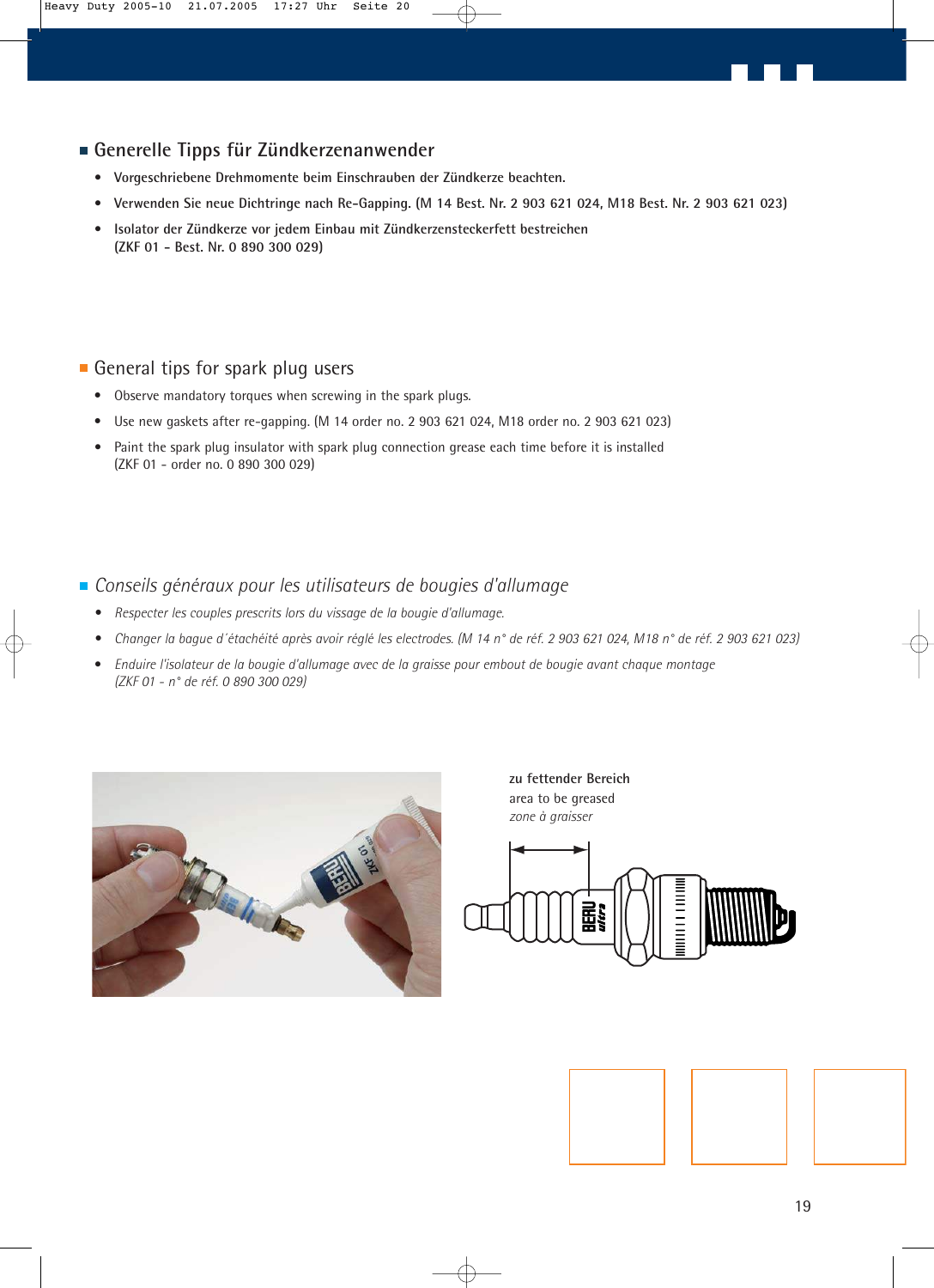### **Generelle Tipps für Zündkerzenanwender**

- **Vorgeschriebene Drehmomente beim Einschrauben der Zündkerze beachten.**
- **Verwenden Sie neue Dichtringe nach Re-Gapping. (M 14 Best. Nr. 2 903 621 024, M18 Best. Nr. 2 903 621 023)**
- **Isolator der Zündkerze vor jedem Einbau mit Zündkerzensteckerfett bestreichen (ZKF 01 - Best. Nr. 0 890 300 029)**

### General tips for spark plug users

- Observe mandatory torques when screwing in the spark plugs.
- Use new gaskets after re-gapping. (M 14 order no. 2 903 621 024, M18 order no. 2 903 621 023)
- **•** Paint the spark plug insulator with spark plug connection grease each time before it is installed (ZKF 01 - order no. 0 890 300 029)
- *Conseils généraux pour les utilisateurs de bougies d'allumage*
	- *Respecter les couples prescrits lors du vissage de la bougie d'allumage.*
	- *Changer la bague d´étachéité après avoir réglé les electrodes. (M 14 n° de réf. 2 903 621 024, M18 n° de réf. 2 903 621 023)*
	- **•** *Enduire l'isolateur de la bougie d'allumage avec de la graisse pour embout de bougie avant chaque montage (ZKF 01 - n° de réf. 0 890 300 029)*

![](_page_18_Picture_12.jpeg)

**zu fettender Bereich** area to be greased *zone à graisser*

![](_page_18_Figure_14.jpeg)